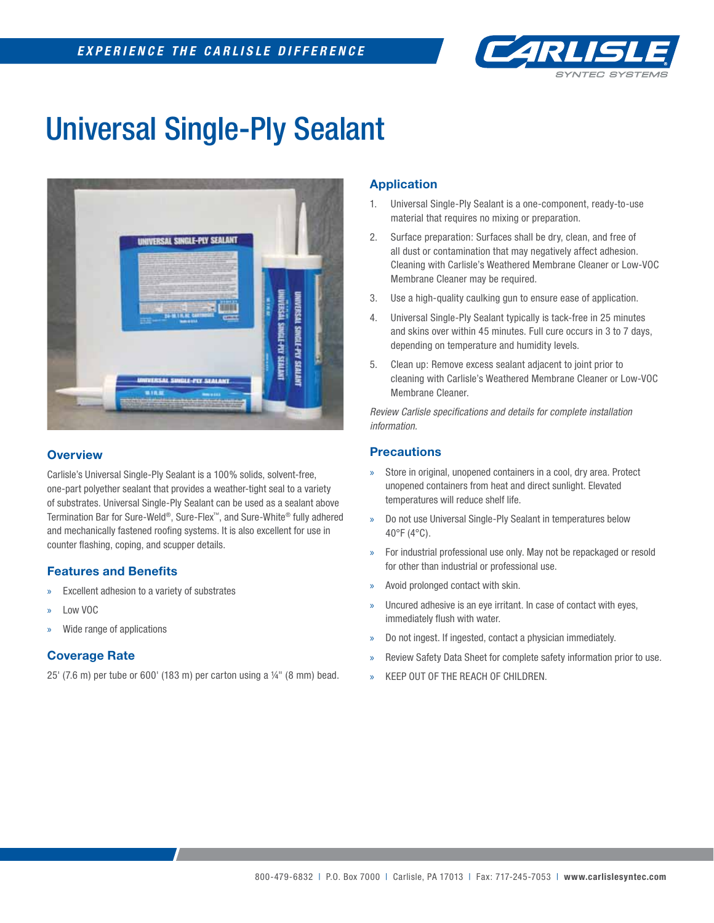

# Universal Single-Ply Sealant



# **Overview**

Carlisle's Universal Single-Ply Sealant is a 100% solids, solvent-free, one-part polyether sealant that provides a weather-tight seal to a variety of substrates. Universal Single-Ply Sealant can be used as a sealant above Termination Bar for Sure-Weld®, Sure-Flex™, and Sure-White® fully adhered and mechanically fastened roofing systems. It is also excellent for use in counter flashing, coping, and scupper details.

#### **Features and Benefits**

- » Excellent adhesion to a variety of substrates
- » Low VOC
- » Wide range of applications

#### **Coverage Rate**

25' (7.6 m) per tube or 600' (183 m) per carton using a ¼" (8 mm) bead.

## **Application**

- 1. Universal Single-Ply Sealant is a one-component, ready-to-use material that requires no mixing or preparation.
- 2. Surface preparation: Surfaces shall be dry, clean, and free of all dust or contamination that may negatively affect adhesion. Cleaning with Carlisle's Weathered Membrane Cleaner or Low-VOC Membrane Cleaner may be required.
- 3. Use a high-quality caulking gun to ensure ease of application.
- 4. Universal Single-Ply Sealant typically is tack-free in 25 minutes and skins over within 45 minutes. Full cure occurs in 3 to 7 days, depending on temperature and humidity levels.
- 5. Clean up: Remove excess sealant adjacent to joint prior to cleaning with Carlisle's Weathered Membrane Cleaner or Low-VOC Membrane Cleaner.

*Review Carlisle specifi cations and details for complete installation information.*

### **Precautions**

- Store in original, unopened containers in a cool, dry area. Protect unopened containers from heat and direct sunlight. Elevated temperatures will reduce shelf life.
- » Do not use Universal Single-Ply Sealant in temperatures below 40°F (4°C).
- » For industrial professional use only. May not be repackaged or resold for other than industrial or professional use.
- » Avoid prolonged contact with skin.
- Uncured adhesive is an eye irritant. In case of contact with eyes, immediately flush with water.
- » Do not ingest. If ingested, contact a physician immediately.
- » Review Safety Data Sheet for complete safety information prior to use.
- » KEEP OUT OF THE REACH OF CHILDREN.